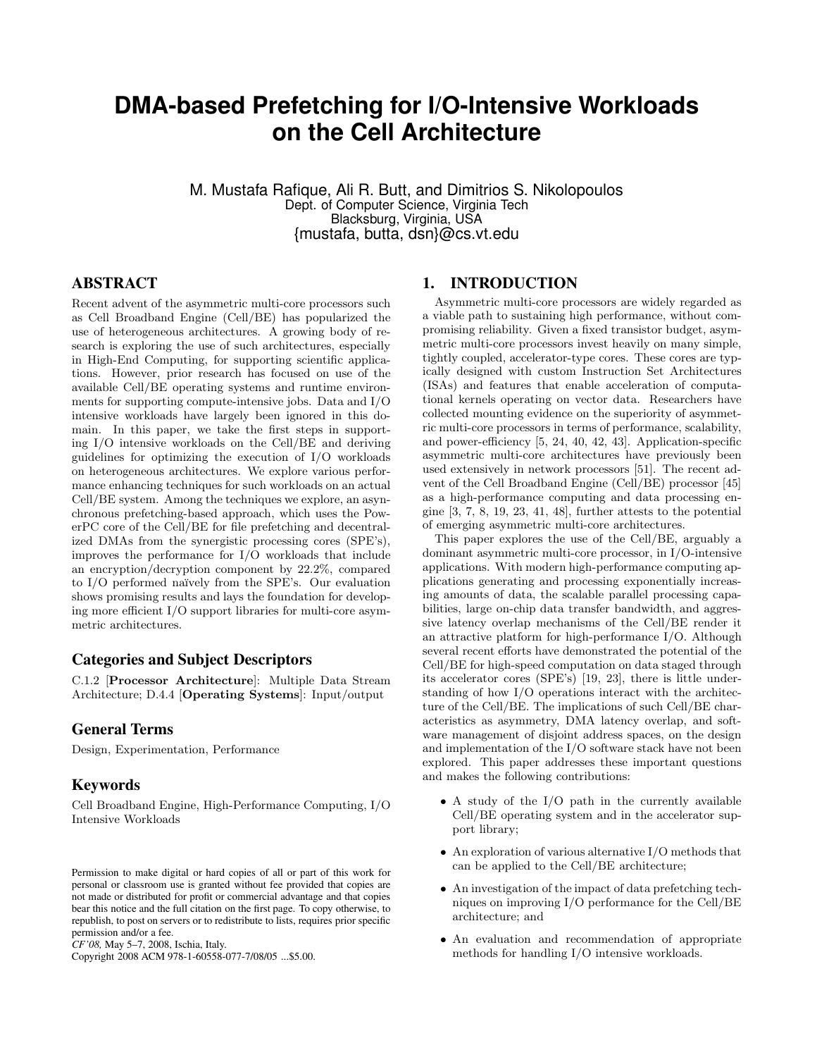# **DMA-based Prefetching for I/O-Intensive Workloads on the Cell Architecture**

M. Mustafa Rafique, Ali R. Butt, and Dimitrios S. Nikolopoulos Dept. of Computer Science, Virginia Tech Blacksburg, Virginia, USA {mustafa, butta, dsn}@cs.vt.edu

## **ABSTRACT**

Recent advent of the asymmetric multi-core processors such as Cell Broadband Engine (Cell/BE) has popularized the use of heterogeneous architectures. A growing body of research is exploring the use of such architectures, especially in High-End Computing, for supporting scientific applications. However, prior research has focused on use of the available Cell/BE operating systems and runtime environments for supporting compute-intensive jobs. Data and I/O intensive workloads have largely been ignored in this domain. In this paper, we take the first steps in supporting I/O intensive workloads on the Cell/BE and deriving guidelines for optimizing the execution of I/O workloads on heterogeneous architectures. We explore various performance enhancing techniques for such workloads on an actual Cell/BE system. Among the techniques we explore, an asynchronous prefetching-based approach, which uses the PowerPC core of the Cell/BE for file prefetching and decentralized DMAs from the synergistic processing cores (SPE's), improves the performance for I/O workloads that include an encryption/decryption component by 22.2%, compared to  $I/O$  performed naïvely from the SPE's. Our evaluation shows promising results and lays the foundation for developing more efficient I/O support libraries for multi-core asymmetric architectures.

## **Categories and Subject Descriptors**

C.1.2 [Processor Architecture]: Multiple Data Stream Architecture; D.4.4 [Operating Systems]: Input/output

## **General Terms**

Design, Experimentation, Performance

## **Keywords**

Cell Broadband Engine, High-Performance Computing, I/O Intensive Workloads

Copyright 2008 ACM 978-1-60558-077-7/08/05 ...\$5.00.

## **1. INTRODUCTION**

Asymmetric multi-core processors are widely regarded as a viable path to sustaining high performance, without compromising reliability. Given a fixed transistor budget, asymmetric multi-core processors invest heavily on many simple, tightly coupled, accelerator-type cores. These cores are typically designed with custom Instruction Set Architectures (ISAs) and features that enable acceleration of computational kernels operating on vector data. Researchers have collected mounting evidence on the superiority of asymmetric multi-core processors in terms of performance, scalability, and power-efficiency [5, 24, 40, 42, 43]. Application-specific asymmetric multi-core architectures have previously been used extensively in network processors [51]. The recent advent of the Cell Broadband Engine (Cell/BE) processor [45] as a high-performance computing and data processing engine  $[3, 7, 8, 19, 23, 41, 48]$ , further attests to the potential of emerging asymmetric multi-core architectures.

This paper explores the use of the Cell/BE, arguably a dominant asymmetric multi-core processor, in I/O-intensive applications. With modern high-performance computing applications generating and processing exponentially increasing amounts of data, the scalable parallel processing capabilities, large on-chip data transfer bandwidth, and aggressive latency overlap mechanisms of the Cell/BE render it an attractive platform for high-performance I/O. Although several recent efforts have demonstrated the potential of the Cell/BE for high-speed computation on data staged through its accelerator cores (SPE's) [19, 23], there is little understanding of how I/O operations interact with the architecture of the Cell/BE. The implications of such Cell/BE characteristics as asymmetry, DMA latency overlap, and software management of disjoint address spaces, on the design and implementation of the I/O software stack have not been explored. This paper addresses these important questions and makes the following contributions:

- A study of the I/O path in the currently available Cell/BE operating system and in the accelerator support library;
- An exploration of various alternative I/O methods that can be applied to the Cell/BE architecture;
- An investigation of the impact of data prefetching techniques on improving I/O performance for the Cell/BE architecture; and
- An evaluation and recommendation of appropriate methods for handling I/O intensive workloads.

Permission to make digital or hard copies of all or part of this work for personal or classroom use is granted without fee provided that copies are not made or distributed for profit or commercial advantage and that copies bear this notice and the full citation on the first page. To copy otherwise, to republish, to post on servers or to redistribute to lists, requires prior specific permission and/or a fee.

*CF'08,* May 5–7, 2008, Ischia, Italy.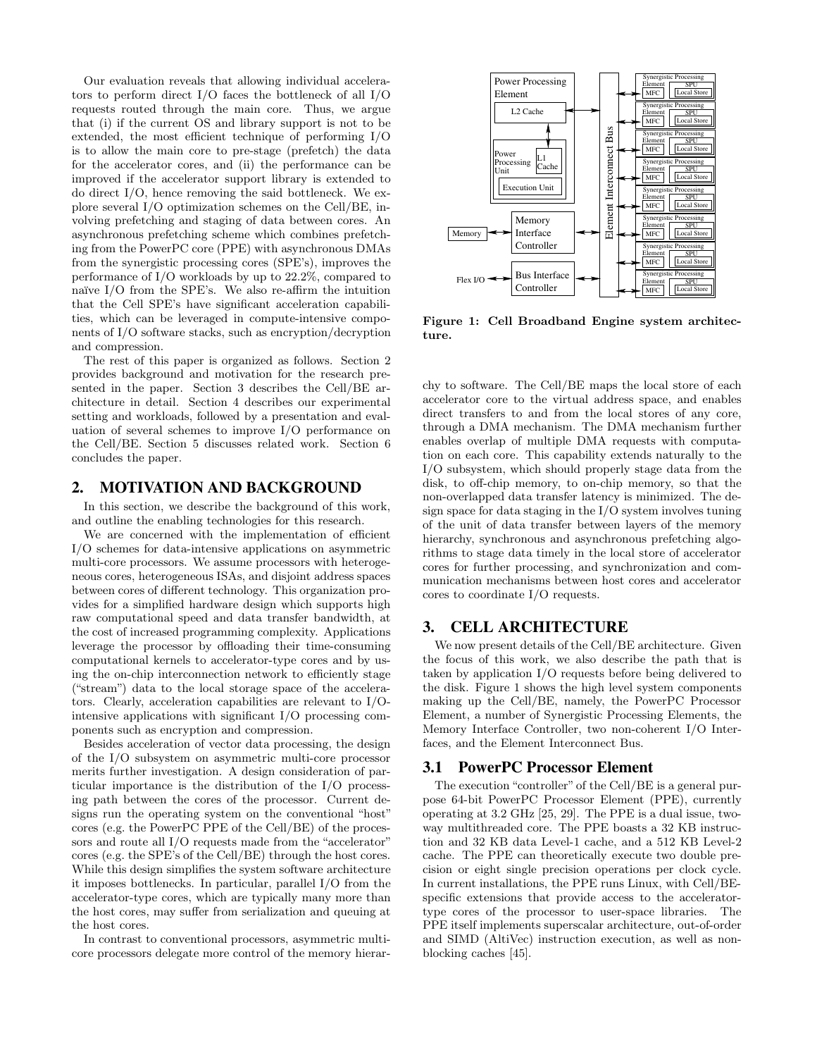Our evaluation reveals that allowing individual accelerators to perform direct I/O faces the bottleneck of all I/O requests routed through the main core. Thus, we argue that (i) if the current OS and library support is not to be extended, the most efficient technique of performing I/O is to allow the main core to pre-stage (prefetch) the data for the accelerator cores, and (ii) the performance can be improved if the accelerator support library is extended to do direct I/O, hence removing the said bottleneck. We explore several I/O optimization schemes on the Cell/BE, involving prefetching and staging of data between cores. An asynchronous prefetching scheme which combines prefetching from the PowerPC core (PPE) with asynchronous DMAs from the synergistic processing cores (SPE's), improves the performance of I/O workloads by up to 22.2%, compared to naïve  $I/O$  from the SPE's. We also re-affirm the intuition that the Cell SPE's have significant acceleration capabilities, which can be leveraged in compute-intensive components of I/O software stacks, such as encryption/decryption and compression.

The rest of this paper is organized as follows. Section 2 provides background and motivation for the research presented in the paper. Section 3 describes the Cell/BE architecture in detail. Section 4 describes our experimental setting and workloads, followed by a presentation and evaluation of several schemes to improve I/O performance on the Cell/BE. Section 5 discusses related work. Section 6 concludes the paper.

#### **2. MOTIVATION AND BACKGROUND**

In this section, we describe the background of this work, and outline the enabling technologies for this research.

We are concerned with the implementation of efficient I/O schemes for data-intensive applications on asymmetric multi-core processors. We assume processors with heterogeneous cores, heterogeneous ISAs, and disjoint address spaces between cores of different technology. This organization provides for a simplified hardware design which supports high raw computational speed and data transfer bandwidth, at the cost of increased programming complexity. Applications leverage the processor by offloading their time-consuming computational kernels to accelerator-type cores and by using the on-chip interconnection network to efficiently stage ("stream") data to the local storage space of the accelerators. Clearly, acceleration capabilities are relevant to I/Ointensive applications with significant I/O processing components such as encryption and compression.

Besides acceleration of vector data processing, the design of the I/O subsystem on asymmetric multi-core processor merits further investigation. A design consideration of particular importance is the distribution of the I/O processing path between the cores of the processor. Current designs run the operating system on the conventional "host" cores (e.g. the PowerPC PPE of the Cell/BE) of the processors and route all I/O requests made from the "accelerator" cores (e.g. the SPE's of the Cell/BE) through the host cores. While this design simplifies the system software architecture it imposes bottlenecks. In particular, parallel I/O from the accelerator-type cores, which are typically many more than the host cores, may suffer from serialization and queuing at the host cores.

In contrast to conventional processors, asymmetric multicore processors delegate more control of the memory hierar-



Figure 1: Cell Broadband Engine system architecture.

chy to software. The Cell/BE maps the local store of each accelerator core to the virtual address space, and enables direct transfers to and from the local stores of any core, through a DMA mechanism. The DMA mechanism further enables overlap of multiple DMA requests with computation on each core. This capability extends naturally to the I/O subsystem, which should properly stage data from the disk, to off-chip memory, to on-chip memory, so that the non-overlapped data transfer latency is minimized. The design space for data staging in the I/O system involves tuning of the unit of data transfer between layers of the memory hierarchy, synchronous and asynchronous prefetching algorithms to stage data timely in the local store of accelerator cores for further processing, and synchronization and communication mechanisms between host cores and accelerator cores to coordinate I/O requests.

## **3. CELL ARCHITECTURE**

We now present details of the Cell/BE architecture. Given the focus of this work, we also describe the path that is taken by application I/O requests before being delivered to the disk. Figure 1 shows the high level system components making up the Cell/BE, namely, the PowerPC Processor Element, a number of Synergistic Processing Elements, the Memory Interface Controller, two non-coherent I/O Interfaces, and the Element Interconnect Bus.

#### **3.1 PowerPC Processor Element**

The execution "controller" of the Cell/BE is a general purpose 64-bit PowerPC Processor Element (PPE), currently operating at 3.2 GHz [25, 29]. The PPE is a dual issue, twoway multithreaded core. The PPE boasts a 32 KB instruction and 32 KB data Level-1 cache, and a 512 KB Level-2 cache. The PPE can theoretically execute two double precision or eight single precision operations per clock cycle. In current installations, the PPE runs Linux, with Cell/BEspecific extensions that provide access to the acceleratortype cores of the processor to user-space libraries. The PPE itself implements superscalar architecture, out-of-order and SIMD (AltiVec) instruction execution, as well as nonblocking caches [45].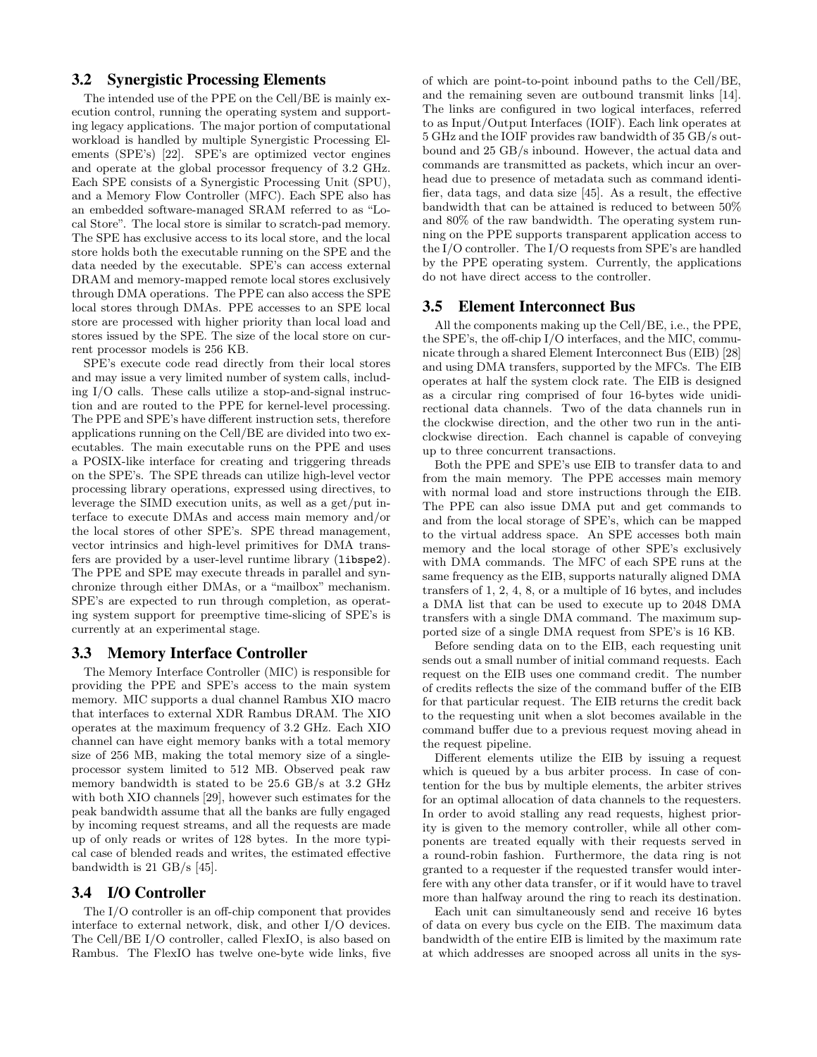## **3.2 Synergistic Processing Elements**

The intended use of the PPE on the Cell/BE is mainly execution control, running the operating system and supporting legacy applications. The major portion of computational workload is handled by multiple Synergistic Processing Elements (SPE's) [22]. SPE's are optimized vector engines and operate at the global processor frequency of 3.2 GHz. Each SPE consists of a Synergistic Processing Unit (SPU), and a Memory Flow Controller (MFC). Each SPE also has an embedded software-managed SRAM referred to as "Local Store". The local store is similar to scratch-pad memory. The SPE has exclusive access to its local store, and the local store holds both the executable running on the SPE and the data needed by the executable. SPE's can access external DRAM and memory-mapped remote local stores exclusively through DMA operations. The PPE can also access the SPE local stores through DMAs. PPE accesses to an SPE local store are processed with higher priority than local load and stores issued by the SPE. The size of the local store on current processor models is 256 KB.

SPE's execute code read directly from their local stores and may issue a very limited number of system calls, including I/O calls. These calls utilize a stop-and-signal instruction and are routed to the PPE for kernel-level processing. The PPE and SPE's have different instruction sets, therefore applications running on the Cell/BE are divided into two executables. The main executable runs on the PPE and uses a POSIX-like interface for creating and triggering threads on the SPE's. The SPE threads can utilize high-level vector processing library operations, expressed using directives, to leverage the SIMD execution units, as well as a get/put interface to execute DMAs and access main memory and/or the local stores of other SPE's. SPE thread management, vector intrinsics and high-level primitives for DMA transfers are provided by a user-level runtime library (libspe2). The PPE and SPE may execute threads in parallel and synchronize through either DMAs, or a "mailbox" mechanism. SPE's are expected to run through completion, as operating system support for preemptive time-slicing of SPE's is currently at an experimental stage.

## **3.3 Memory Interface Controller**

The Memory Interface Controller (MIC) is responsible for providing the PPE and SPE's access to the main system memory. MIC supports a dual channel Rambus XIO macro that interfaces to external XDR Rambus DRAM. The XIO operates at the maximum frequency of 3.2 GHz. Each XIO channel can have eight memory banks with a total memory size of 256 MB, making the total memory size of a singleprocessor system limited to 512 MB. Observed peak raw memory bandwidth is stated to be 25.6 GB/s at 3.2 GHz with both XIO channels [29], however such estimates for the peak bandwidth assume that all the banks are fully engaged by incoming request streams, and all the requests are made up of only reads or writes of 128 bytes. In the more typical case of blended reads and writes, the estimated effective bandwidth is 21 GB/s [45].

## **3.4 I/O Controller**

The I/O controller is an off-chip component that provides interface to external network, disk, and other I/O devices. The Cell/BE I/O controller, called FlexIO, is also based on Rambus. The FlexIO has twelve one-byte wide links, five of which are point-to-point inbound paths to the Cell/BE, and the remaining seven are outbound transmit links [14]. The links are configured in two logical interfaces, referred to as Input/Output Interfaces (IOIF). Each link operates at 5 GHz and the IOIF provides raw bandwidth of 35 GB/s outbound and 25 GB/s inbound. However, the actual data and commands are transmitted as packets, which incur an overhead due to presence of metadata such as command identifier, data tags, and data size [45]. As a result, the effective bandwidth that can be attained is reduced to between 50% and 80% of the raw bandwidth. The operating system running on the PPE supports transparent application access to the I/O controller. The I/O requests from SPE's are handled by the PPE operating system. Currently, the applications do not have direct access to the controller.

## **3.5 Element Interconnect Bus**

All the components making up the Cell/BE, i.e., the PPE, the SPE's, the off-chip I/O interfaces, and the MIC, communicate through a shared Element Interconnect Bus (EIB) [28] and using DMA transfers, supported by the MFCs. The EIB operates at half the system clock rate. The EIB is designed as a circular ring comprised of four 16-bytes wide unidirectional data channels. Two of the data channels run in the clockwise direction, and the other two run in the anticlockwise direction. Each channel is capable of conveying up to three concurrent transactions.

Both the PPE and SPE's use EIB to transfer data to and from the main memory. The PPE accesses main memory with normal load and store instructions through the EIB. The PPE can also issue DMA put and get commands to and from the local storage of SPE's, which can be mapped to the virtual address space. An SPE accesses both main memory and the local storage of other SPE's exclusively with DMA commands. The MFC of each SPE runs at the same frequency as the EIB, supports naturally aligned DMA transfers of 1, 2, 4, 8, or a multiple of 16 bytes, and includes a DMA list that can be used to execute up to 2048 DMA transfers with a single DMA command. The maximum supported size of a single DMA request from SPE's is 16 KB.

Before sending data on to the EIB, each requesting unit sends out a small number of initial command requests. Each request on the EIB uses one command credit. The number of credits reflects the size of the command buffer of the EIB for that particular request. The EIB returns the credit back to the requesting unit when a slot becomes available in the command buffer due to a previous request moving ahead in the request pipeline.

Different elements utilize the EIB by issuing a request which is queued by a bus arbiter process. In case of contention for the bus by multiple elements, the arbiter strives for an optimal allocation of data channels to the requesters. In order to avoid stalling any read requests, highest priority is given to the memory controller, while all other components are treated equally with their requests served in a round-robin fashion. Furthermore, the data ring is not granted to a requester if the requested transfer would interfere with any other data transfer, or if it would have to travel more than halfway around the ring to reach its destination.

Each unit can simultaneously send and receive 16 bytes of data on every bus cycle on the EIB. The maximum data bandwidth of the entire EIB is limited by the maximum rate at which addresses are snooped across all units in the sys-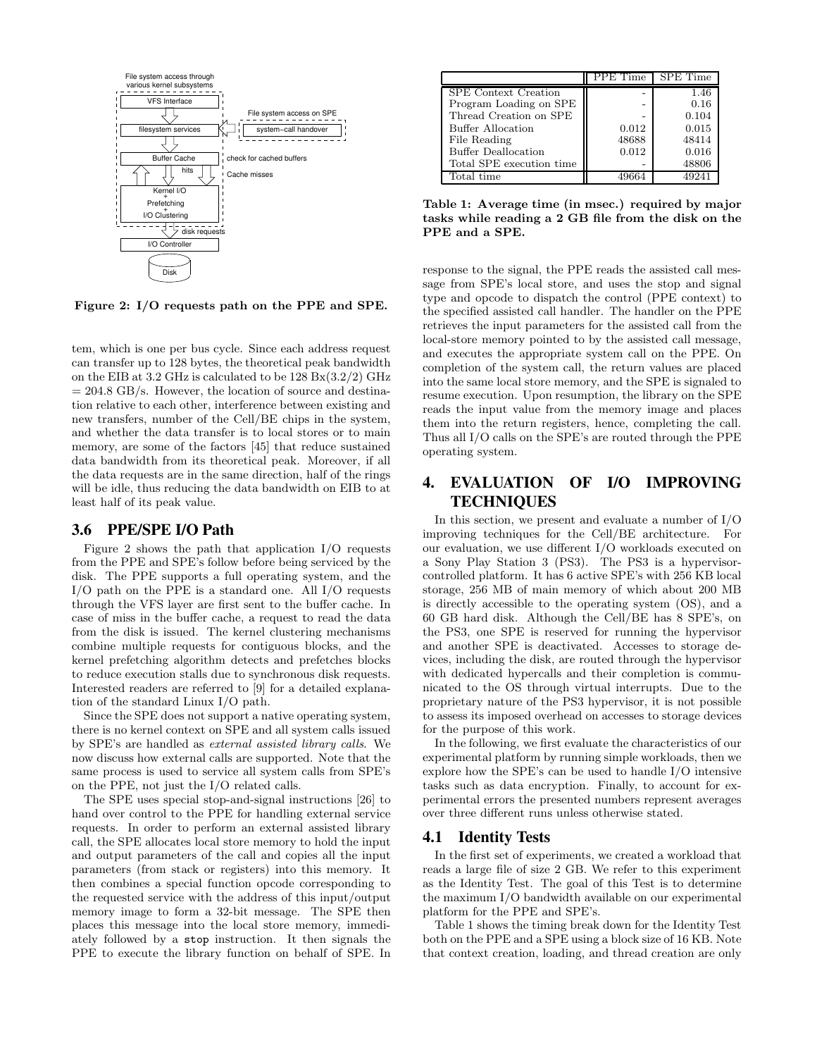

Figure 2: I/O requests path on the PPE and SPE.

tem, which is one per bus cycle. Since each address request can transfer up to 128 bytes, the theoretical peak bandwidth on the EIB at 3.2 GHz is calculated to be 128 Bx(3.2/2) GHz  $= 204.8 \text{ GB/s}$ . However, the location of source and destination relative to each other, interference between existing and new transfers, number of the Cell/BE chips in the system, and whether the data transfer is to local stores or to main memory, are some of the factors [45] that reduce sustained data bandwidth from its theoretical peak. Moreover, if all the data requests are in the same direction, half of the rings will be idle, thus reducing the data bandwidth on EIB to at least half of its peak value.

#### **3.6 PPE/SPE I/O Path**

Figure 2 shows the path that application I/O requests from the PPE and SPE's follow before being serviced by the disk. The PPE supports a full operating system, and the I/O path on the PPE is a standard one. All I/O requests through the VFS layer are first sent to the buffer cache. In case of miss in the buffer cache, a request to read the data from the disk is issued. The kernel clustering mechanisms combine multiple requests for contiguous blocks, and the kernel prefetching algorithm detects and prefetches blocks to reduce execution stalls due to synchronous disk requests. Interested readers are referred to [9] for a detailed explanation of the standard Linux I/O path.

Since the SPE does not support a native operating system, there is no kernel context on SPE and all system calls issued by SPE's are handled as external assisted library calls. We now discuss how external calls are supported. Note that the same process is used to service all system calls from SPE's on the PPE, not just the I/O related calls.

The SPE uses special stop-and-signal instructions [26] to hand over control to the PPE for handling external service requests. In order to perform an external assisted library call, the SPE allocates local store memory to hold the input and output parameters of the call and copies all the input parameters (from stack or registers) into this memory. It then combines a special function opcode corresponding to the requested service with the address of this input/output memory image to form a 32-bit message. The SPE then places this message into the local store memory, immediately followed by a stop instruction. It then signals the PPE to execute the library function on behalf of SPE. In

|                             | PPE Time | SPE Time |
|-----------------------------|----------|----------|
| <b>SPE</b> Context Creation |          | 1.46     |
| Program Loading on SPE      |          | 0.16     |
| Thread Creation on SPE      |          | 0.104    |
| Buffer Allocation           | 0.012    | 0.015    |
| File Reading                | 48688    | 48414    |
| <b>Buffer Deallocation</b>  | 0.012    | 0.016    |
| Total SPE execution time    |          | 48806    |
| Total time                  |          |          |

Table 1: Average time (in msec.) required by major tasks while reading a 2 GB file from the disk on the PPE and a SPE.

response to the signal, the PPE reads the assisted call message from SPE's local store, and uses the stop and signal type and opcode to dispatch the control (PPE context) to the specified assisted call handler. The handler on the PPE retrieves the input parameters for the assisted call from the local-store memory pointed to by the assisted call message, and executes the appropriate system call on the PPE. On completion of the system call, the return values are placed into the same local store memory, and the SPE is signaled to resume execution. Upon resumption, the library on the SPE reads the input value from the memory image and places them into the return registers, hence, completing the call. Thus all I/O calls on the SPE's are routed through the PPE operating system.

## **4. EVALUATION OF I/O IMPROVING TECHNIQUES**

In this section, we present and evaluate a number of I/O improving techniques for the Cell/BE architecture. For our evaluation, we use different I/O workloads executed on a Sony Play Station 3 (PS3). The PS3 is a hypervisorcontrolled platform. It has 6 active SPE's with 256 KB local storage, 256 MB of main memory of which about 200 MB is directly accessible to the operating system (OS), and a 60 GB hard disk. Although the Cell/BE has 8 SPE's, on the PS3, one SPE is reserved for running the hypervisor and another SPE is deactivated. Accesses to storage devices, including the disk, are routed through the hypervisor with dedicated hypercalls and their completion is communicated to the OS through virtual interrupts. Due to the proprietary nature of the PS3 hypervisor, it is not possible to assess its imposed overhead on accesses to storage devices for the purpose of this work.

In the following, we first evaluate the characteristics of our experimental platform by running simple workloads, then we explore how the SPE's can be used to handle I/O intensive tasks such as data encryption. Finally, to account for experimental errors the presented numbers represent averages over three different runs unless otherwise stated.

## **4.1 Identity Tests**

In the first set of experiments, we created a workload that reads a large file of size 2 GB. We refer to this experiment as the Identity Test. The goal of this Test is to determine the maximum I/O bandwidth available on our experimental platform for the PPE and SPE's.

Table 1 shows the timing break down for the Identity Test both on the PPE and a SPE using a block size of 16 KB. Note that context creation, loading, and thread creation are only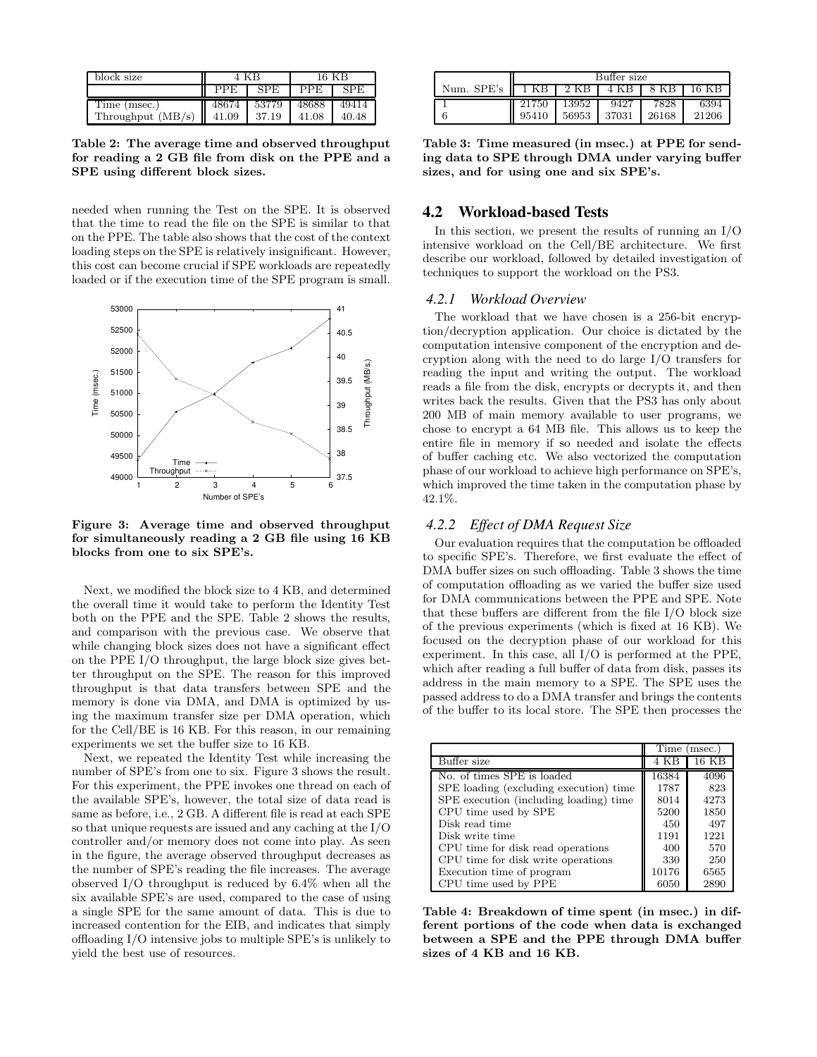| block size          | KR    |       | 16 KB |       |
|---------------------|-------|-------|-------|-------|
|                     | PPF   | SPE   | PPE   |       |
| Time (msec.)        | 48674 | 53779 | 48688 | 49414 |
| Throughput $(MB/s)$ | 41.09 | 37.19 | 41.08 | 40.48 |

Table 2: The average time and observed throughput for reading a 2 GB file from disk on the PPE and a SPE using different block sizes.

needed when running the Test on the SPE. It is observed that the time to read the file on the SPE is similar to that on the PPE. The table also shows that the cost of the context loading steps on the SPE is relatively insignificant. However, this cost can become crucial if SPE workloads are repeatedly loaded or if the execution time of the SPE program is small.



Figure 3: Average time and observed throughput for simultaneously reading a 2 GB file using 16 KB blocks from one to six SPE's.

Next, we modified the block size to 4 KB, and determined the overall time it would take to perform the Identity Test both on the PPE and the SPE. Table 2 shows the results, and comparison with the previous case. We observe that while changing block sizes does not have a significant effect on the PPE I/O throughput, the large block size gives better throughput on the SPE. The reason for this improved throughput is that data transfers between SPE and the memory is done via DMA, and DMA is optimized by using the maximum transfer size per DMA operation, which for the Cell/BE is 16 KB. For this reason, in our remaining experiments we set the buffer size to 16 KB.

Next, we repeated the Identity Test while increasing the number of SPE's from one to six. Figure 3 shows the result. For this experiment, the PPE invokes one thread on each of the available SPE's, however, the total size of data read is same as before, i.e., 2 GB. A different file is read at each SPE so that unique requests are issued and any caching at the I/O controller and/or memory does not come into play. As seen in the figure, the average observed throughput decreases as the number of SPE's reading the file increases. The average observed I/O throughput is reduced by 6.4% when all the six available SPE's are used, compared to the case of using a single SPE for the same amount of data. This is due to increased contention for the EIB, and indicates that simply offloading I/O intensive jobs to multiple SPE's is unlikely to yield the best use of resources.

|            | Buffer size |       |       |       |       |
|------------|-------------|-------|-------|-------|-------|
| Num. SPE's |             | 2 K B |       |       |       |
|            | 21750       | 13952 | 9427  | 7828  | 6394  |
|            | 95410       | 56953 | 37031 | 26168 | 21206 |

Table 3: Time measured (in msec.) at PPE for sending data to SPE through DMA under varying buffer sizes, and for using one and six SPE's.

## **4.2 Workload-based Tests**

In this section, we present the results of running an I/O intensive workload on the Cell/BE architecture. We first describe our workload, followed by detailed investigation of techniques to support the workload on the PS3.

#### *4.2.1 Workload Overview*

The workload that we have chosen is a 256-bit encryption/decryption application. Our choice is dictated by the computation intensive component of the encryption and decryption along with the need to do large I/O transfers for reading the input and writing the output. The workload reads a file from the disk, encrypts or decrypts it, and then writes back the results. Given that the PS3 has only about 200 MB of main memory available to user programs, we chose to encrypt a 64 MB file. This allows us to keep the entire file in memory if so needed and isolate the effects of buffer caching etc. We also vectorized the computation phase of our workload to achieve high performance on SPE's, which improved the time taken in the computation phase by 42.1%.

#### *4.2.2 Effect of DMA Request Size*

Our evaluation requires that the computation be offloaded to specific SPE's. Therefore, we first evaluate the effect of DMA buffer sizes on such offloading. Table 3 shows the time of computation offloading as we varied the buffer size used for DMA communications between the PPE and SPE. Note that these buffers are different from the file I/O block size of the previous experiments (which is fixed at 16 KB). We focused on the decryption phase of our workload for this experiment. In this case, all I/O is performed at the PPE, which after reading a full buffer of data from disk, passes its address in the main memory to a SPE. The SPE uses the passed address to do a DMA transfer and brings the contents of the buffer to its local store. The SPE then processes the

|                                        | Time (msec. |       |
|----------------------------------------|-------------|-------|
| Buffer size                            | 4 KB        | 16 KB |
| No. of times SPE is loaded             | 16384       | 4096  |
| SPE loading (excluding execution) time | 1787        | 823   |
| SPE execution (including loading) time | 8014        | 4273  |
| CPU time used by SPE                   | 5200        | 1850  |
| Disk read time                         | 450         | 497   |
| Disk write time                        | 1191        | 1221  |
| CPU time for disk read operations      | 400         | 570   |
| CPU time for disk write operations     | 330         | 250   |
| Execution time of program              | 10176       | 6565  |
| CPU time used by PPE                   | 6050        | 2890  |

Table 4: Breakdown of time spent (in msec.) in different portions of the code when data is exchanged between a SPE and the PPE through DMA buffer sizes of 4 KB and 16 KB.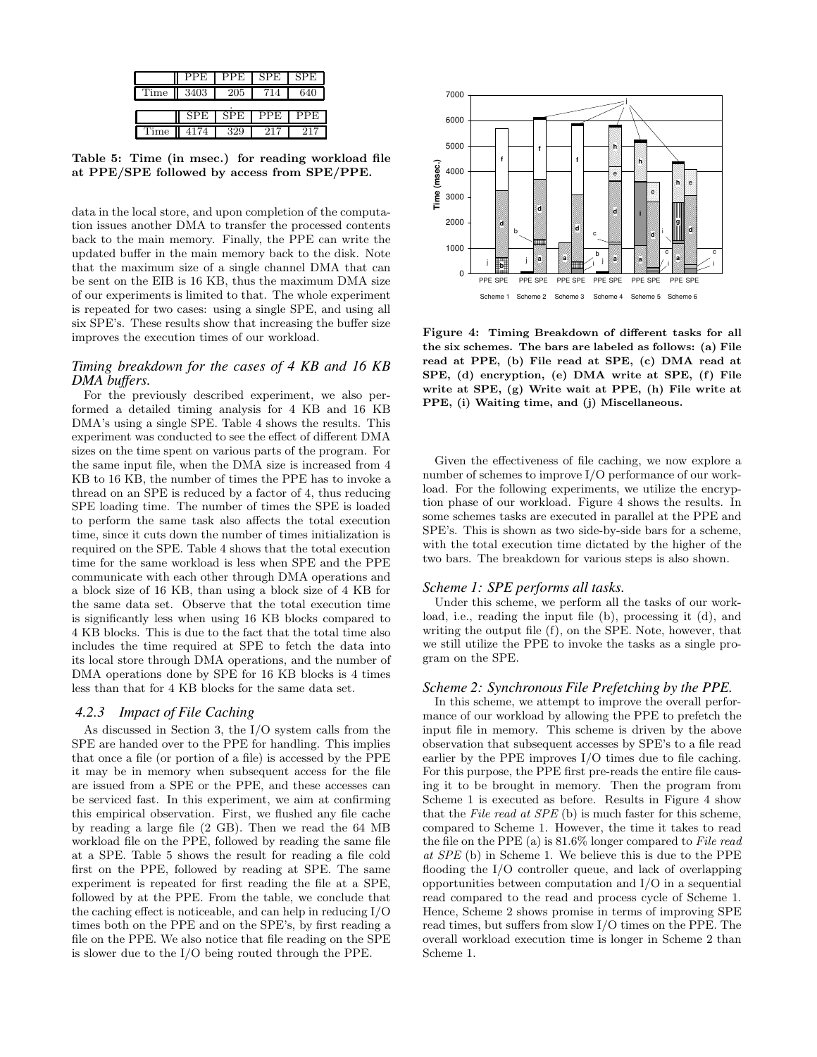|      | <b>PPE</b> | PPE        | <b>SPE</b> | SPE |
|------|------------|------------|------------|-----|
| Time | 3403       | 205        | 714        | 640 |
|      |            |            |            |     |
|      | <b>SPE</b> | <b>SPE</b> | PPE        | PPE |
| Time | 4174       | 329        | 217        | 217 |

Table 5: Time (in msec.) for reading workload file at PPE/SPE followed by access from SPE/PPE.

data in the local store, and upon completion of the computation issues another DMA to transfer the processed contents back to the main memory. Finally, the PPE can write the updated buffer in the main memory back to the disk. Note that the maximum size of a single channel DMA that can be sent on the EIB is 16 KB, thus the maximum DMA size of our experiments is limited to that. The whole experiment is repeated for two cases: using a single SPE, and using all six SPE's. These results show that increasing the buffer size improves the execution times of our workload.

#### *Timing breakdown for the cases of 4 KB and 16 KB DMA buffers.*

For the previously described experiment, we also performed a detailed timing analysis for 4 KB and 16 KB DMA's using a single SPE. Table 4 shows the results. This experiment was conducted to see the effect of different DMA sizes on the time spent on various parts of the program. For the same input file, when the DMA size is increased from 4 KB to 16 KB, the number of times the PPE has to invoke a thread on an SPE is reduced by a factor of 4, thus reducing SPE loading time. The number of times the SPE is loaded to perform the same task also affects the total execution time, since it cuts down the number of times initialization is required on the SPE. Table 4 shows that the total execution time for the same workload is less when SPE and the PPE communicate with each other through DMA operations and a block size of 16 KB, than using a block size of 4 KB for the same data set. Observe that the total execution time is significantly less when using 16 KB blocks compared to 4 KB blocks. This is due to the fact that the total time also includes the time required at SPE to fetch the data into its local store through DMA operations, and the number of DMA operations done by SPE for 16 KB blocks is 4 times less than that for 4 KB blocks for the same data set.

#### *4.2.3 Impact of File Caching*

As discussed in Section 3, the I/O system calls from the SPE are handed over to the PPE for handling. This implies that once a file (or portion of a file) is accessed by the PPE it may be in memory when subsequent access for the file are issued from a SPE or the PPE, and these accesses can be serviced fast. In this experiment, we aim at confirming this empirical observation. First, we flushed any file cache by reading a large file (2 GB). Then we read the 64 MB workload file on the PPE, followed by reading the same file at a SPE. Table 5 shows the result for reading a file cold first on the PPE, followed by reading at SPE. The same experiment is repeated for first reading the file at a SPE, followed by at the PPE. From the table, we conclude that the caching effect is noticeable, and can help in reducing I/O times both on the PPE and on the SPE's, by first reading a file on the PPE. We also notice that file reading on the SPE is slower due to the I/O being routed through the PPE.



Figure 4: Timing Breakdown of different tasks for all the six schemes. The bars are labeled as follows: (a) File read at PPE, (b) File read at SPE, (c) DMA read at SPE, (d) encryption, (e) DMA write at SPE, (f) File write at SPE, (g) Write wait at PPE, (h) File write at PPE, (i) Waiting time, and (j) Miscellaneous.

Given the effectiveness of file caching, we now explore a number of schemes to improve I/O performance of our workload. For the following experiments, we utilize the encryption phase of our workload. Figure 4 shows the results. In some schemes tasks are executed in parallel at the PPE and SPE's. This is shown as two side-by-side bars for a scheme, with the total execution time dictated by the higher of the two bars. The breakdown for various steps is also shown.

#### *Scheme 1: SPE performs all tasks.*

Under this scheme, we perform all the tasks of our workload, i.e., reading the input file (b), processing it (d), and writing the output file (f), on the SPE. Note, however, that we still utilize the PPE to invoke the tasks as a single program on the SPE.

#### *Scheme 2: Synchronous File Prefetching by the PPE.*

In this scheme, we attempt to improve the overall performance of our workload by allowing the PPE to prefetch the input file in memory. This scheme is driven by the above observation that subsequent accesses by SPE's to a file read earlier by the PPE improves I/O times due to file caching. For this purpose, the PPE first pre-reads the entire file causing it to be brought in memory. Then the program from Scheme 1 is executed as before. Results in Figure 4 show that the File read at SPE (b) is much faster for this scheme, compared to Scheme 1. However, the time it takes to read the file on the PPE (a) is 81.6% longer compared to File read at SPE (b) in Scheme 1. We believe this is due to the PPE flooding the I/O controller queue, and lack of overlapping opportunities between computation and I/O in a sequential read compared to the read and process cycle of Scheme 1. Hence, Scheme 2 shows promise in terms of improving SPE read times, but suffers from slow I/O times on the PPE. The overall workload execution time is longer in Scheme 2 than Scheme 1.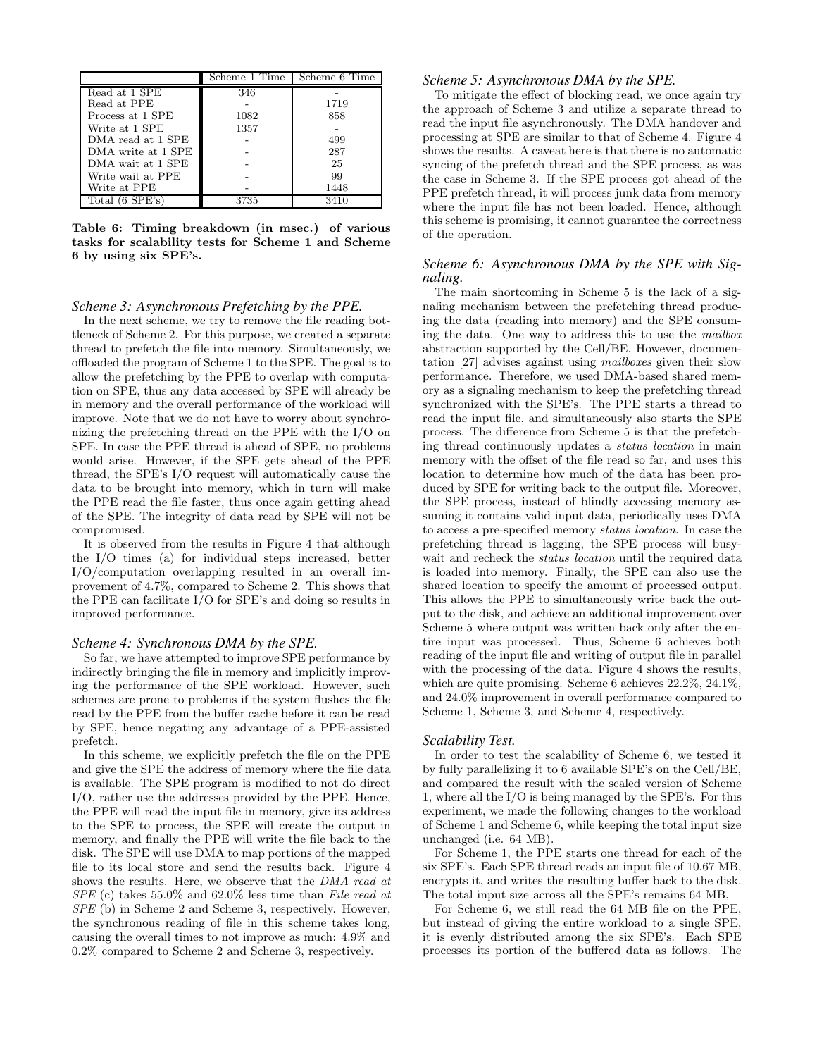|                    | Scheme 1 Time | Scheme 6 Time |
|--------------------|---------------|---------------|
| Read at 1 SPE      | 346           |               |
| Read at PPE        |               | 1719          |
| Process at 1 SPE   | 1082          | 858           |
| Write at 1 SPE     | 1357          |               |
| DMA read at 1 SPE  |               | 499           |
| DMA write at 1 SPE |               | 287           |
| DMA wait at 1 SPE  |               | 25            |
| Write wait at PPE  |               | 99            |
| Write at PPE       |               | 1448          |
| Total (6 SPE's)    | 3735          | 3410          |

Table 6: Timing breakdown (in msec.) of various tasks for scalability tests for Scheme 1 and Scheme 6 by using six SPE's.

## *Scheme 3: Asynchronous Prefetching by the PPE.*

In the next scheme, we try to remove the file reading bottleneck of Scheme 2. For this purpose, we created a separate thread to prefetch the file into memory. Simultaneously, we offloaded the program of Scheme 1 to the SPE. The goal is to allow the prefetching by the PPE to overlap with computation on SPE, thus any data accessed by SPE will already be in memory and the overall performance of the workload will improve. Note that we do not have to worry about synchronizing the prefetching thread on the PPE with the I/O on SPE. In case the PPE thread is ahead of SPE, no problems would arise. However, if the SPE gets ahead of the PPE thread, the SPE's I/O request will automatically cause the data to be brought into memory, which in turn will make the PPE read the file faster, thus once again getting ahead of the SPE. The integrity of data read by SPE will not be compromised.

It is observed from the results in Figure 4 that although the I/O times (a) for individual steps increased, better I/O/computation overlapping resulted in an overall improvement of 4.7%, compared to Scheme 2. This shows that the PPE can facilitate I/O for SPE's and doing so results in improved performance.

#### *Scheme 4: Synchronous DMA by the SPE.*

So far, we have attempted to improve SPE performance by indirectly bringing the file in memory and implicitly improving the performance of the SPE workload. However, such schemes are prone to problems if the system flushes the file read by the PPE from the buffer cache before it can be read by SPE, hence negating any advantage of a PPE-assisted prefetch.

In this scheme, we explicitly prefetch the file on the PPE and give the SPE the address of memory where the file data is available. The SPE program is modified to not do direct I/O, rather use the addresses provided by the PPE. Hence, the PPE will read the input file in memory, give its address to the SPE to process, the SPE will create the output in memory, and finally the PPE will write the file back to the disk. The SPE will use DMA to map portions of the mapped file to its local store and send the results back. Figure 4 shows the results. Here, we observe that the DMA read at  $SPE$  (c) takes 55.0% and 62.0% less time than File read at SPE (b) in Scheme 2 and Scheme 3, respectively. However, the synchronous reading of file in this scheme takes long, causing the overall times to not improve as much: 4.9% and 0.2% compared to Scheme 2 and Scheme 3, respectively.

#### *Scheme 5: Asynchronous DMA by the SPE.*

To mitigate the effect of blocking read, we once again try the approach of Scheme 3 and utilize a separate thread to read the input file asynchronously. The DMA handover and processing at SPE are similar to that of Scheme 4. Figure 4 shows the results. A caveat here is that there is no automatic syncing of the prefetch thread and the SPE process, as was the case in Scheme 3. If the SPE process got ahead of the PPE prefetch thread, it will process junk data from memory where the input file has not been loaded. Hence, although this scheme is promising, it cannot guarantee the correctness of the operation.

## *Scheme 6: Asynchronous DMA by the SPE with Signaling.*

The main shortcoming in Scheme 5 is the lack of a signaling mechanism between the prefetching thread producing the data (reading into memory) and the SPE consuming the data. One way to address this to use the mailbox abstraction supported by the Cell/BE. However, documentation [27] advises against using mailboxes given their slow performance. Therefore, we used DMA-based shared memory as a signaling mechanism to keep the prefetching thread synchronized with the SPE's. The PPE starts a thread to read the input file, and simultaneously also starts the SPE process. The difference from Scheme 5 is that the prefetching thread continuously updates a status location in main memory with the offset of the file read so far, and uses this location to determine how much of the data has been produced by SPE for writing back to the output file. Moreover, the SPE process, instead of blindly accessing memory assuming it contains valid input data, periodically uses DMA to access a pre-specified memory status location. In case the prefetching thread is lagging, the SPE process will busywait and recheck the *status location* until the required data is loaded into memory. Finally, the SPE can also use the shared location to specify the amount of processed output. This allows the PPE to simultaneously write back the output to the disk, and achieve an additional improvement over Scheme 5 where output was written back only after the entire input was processed. Thus, Scheme 6 achieves both reading of the input file and writing of output file in parallel with the processing of the data. Figure 4 shows the results, which are quite promising. Scheme 6 achieves 22.2%, 24.1%, and 24.0% improvement in overall performance compared to Scheme 1, Scheme 3, and Scheme 4, respectively.

#### *Scalability Test.*

In order to test the scalability of Scheme 6, we tested it by fully parallelizing it to 6 available SPE's on the Cell/BE, and compared the result with the scaled version of Scheme 1, where all the I/O is being managed by the SPE's. For this experiment, we made the following changes to the workload of Scheme 1 and Scheme 6, while keeping the total input size unchanged (i.e. 64 MB).

For Scheme 1, the PPE starts one thread for each of the six SPE's. Each SPE thread reads an input file of 10.67 MB, encrypts it, and writes the resulting buffer back to the disk. The total input size across all the SPE's remains 64 MB.

For Scheme 6, we still read the 64 MB file on the PPE, but instead of giving the entire workload to a single SPE, it is evenly distributed among the six SPE's. Each SPE processes its portion of the buffered data as follows. The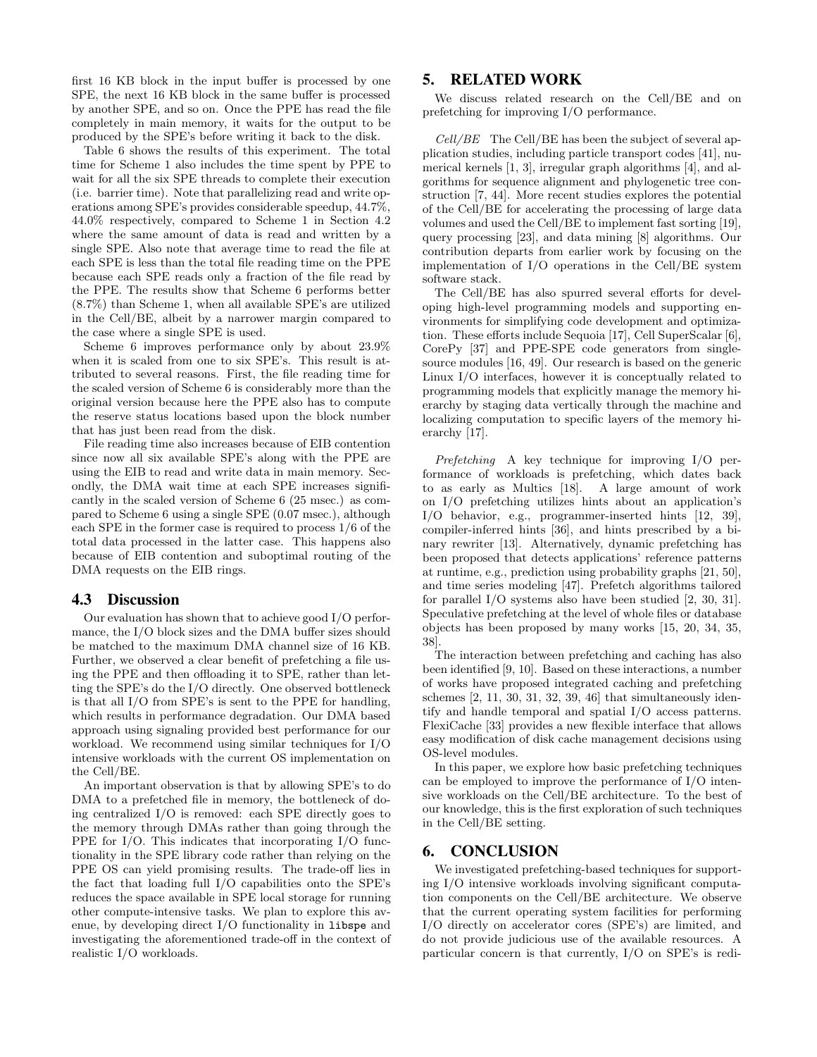first 16 KB block in the input buffer is processed by one SPE, the next 16 KB block in the same buffer is processed by another SPE, and so on. Once the PPE has read the file completely in main memory, it waits for the output to be produced by the SPE's before writing it back to the disk.

Table 6 shows the results of this experiment. The total time for Scheme 1 also includes the time spent by PPE to wait for all the six SPE threads to complete their execution (i.e. barrier time). Note that parallelizing read and write operations among SPE's provides considerable speedup, 44.7%, 44.0% respectively, compared to Scheme 1 in Section 4.2 where the same amount of data is read and written by a single SPE. Also note that average time to read the file at each SPE is less than the total file reading time on the PPE because each SPE reads only a fraction of the file read by the PPE. The results show that Scheme 6 performs better (8.7%) than Scheme 1, when all available SPE's are utilized in the Cell/BE, albeit by a narrower margin compared to the case where a single SPE is used.

Scheme 6 improves performance only by about 23.9% when it is scaled from one to six SPE's. This result is attributed to several reasons. First, the file reading time for the scaled version of Scheme 6 is considerably more than the original version because here the PPE also has to compute the reserve status locations based upon the block number that has just been read from the disk.

File reading time also increases because of EIB contention since now all six available SPE's along with the PPE are using the EIB to read and write data in main memory. Secondly, the DMA wait time at each SPE increases significantly in the scaled version of Scheme 6 (25 msec.) as compared to Scheme 6 using a single SPE (0.07 msec.), although each SPE in the former case is required to process 1/6 of the total data processed in the latter case. This happens also because of EIB contention and suboptimal routing of the DMA requests on the EIB rings.

#### **4.3 Discussion**

Our evaluation has shown that to achieve good I/O performance, the I/O block sizes and the DMA buffer sizes should be matched to the maximum DMA channel size of 16 KB. Further, we observed a clear benefit of prefetching a file using the PPE and then offloading it to SPE, rather than letting the SPE's do the I/O directly. One observed bottleneck is that all I/O from SPE's is sent to the PPE for handling, which results in performance degradation. Our DMA based approach using signaling provided best performance for our workload. We recommend using similar techniques for I/O intensive workloads with the current OS implementation on the Cell/BE.

An important observation is that by allowing SPE's to do DMA to a prefetched file in memory, the bottleneck of doing centralized I/O is removed: each SPE directly goes to the memory through DMAs rather than going through the PPE for I/O. This indicates that incorporating I/O functionality in the SPE library code rather than relying on the PPE OS can yield promising results. The trade-off lies in the fact that loading full I/O capabilities onto the SPE's reduces the space available in SPE local storage for running other compute-intensive tasks. We plan to explore this avenue, by developing direct I/O functionality in libspe and investigating the aforementioned trade-off in the context of realistic I/O workloads.

## **5. RELATED WORK**

We discuss related research on the Cell/BE and on prefetching for improving I/O performance.

 $Cell/BE$  The Cell/BE has been the subject of several application studies, including particle transport codes [41], numerical kernels [1, 3], irregular graph algorithms [4], and algorithms for sequence alignment and phylogenetic tree construction [7, 44]. More recent studies explores the potential of the Cell/BE for accelerating the processing of large data volumes and used the Cell/BE to implement fast sorting [19], query processing [23], and data mining [8] algorithms. Our contribution departs from earlier work by focusing on the implementation of I/O operations in the Cell/BE system software stack.

The Cell/BE has also spurred several efforts for developing high-level programming models and supporting environments for simplifying code development and optimization. These efforts include Sequoia [17], Cell SuperScalar [6], CorePy [37] and PPE-SPE code generators from singlesource modules [16, 49]. Our research is based on the generic Linux I/O interfaces, however it is conceptually related to programming models that explicitly manage the memory hierarchy by staging data vertically through the machine and localizing computation to specific layers of the memory hierarchy [17].

Prefetching A key technique for improving I/O performance of workloads is prefetching, which dates back to as early as Multics [18]. A large amount of work on I/O prefetching utilizes hints about an application's I/O behavior, e.g., programmer-inserted hints [12, 39], compiler-inferred hints [36], and hints prescribed by a binary rewriter [13]. Alternatively, dynamic prefetching has been proposed that detects applications' reference patterns at runtime, e.g., prediction using probability graphs [21, 50], and time series modeling [47]. Prefetch algorithms tailored for parallel I/O systems also have been studied [2, 30, 31]. Speculative prefetching at the level of whole files or database objects has been proposed by many works [15, 20, 34, 35, 38].

The interaction between prefetching and caching has also been identified [9, 10]. Based on these interactions, a number of works have proposed integrated caching and prefetching schemes [2, 11, 30, 31, 32, 39, 46] that simultaneously identify and handle temporal and spatial I/O access patterns. FlexiCache [33] provides a new flexible interface that allows easy modification of disk cache management decisions using OS-level modules.

In this paper, we explore how basic prefetching techniques can be employed to improve the performance of I/O intensive workloads on the Cell/BE architecture. To the best of our knowledge, this is the first exploration of such techniques in the Cell/BE setting.

## **6. CONCLUSION**

We investigated prefetching-based techniques for supporting I/O intensive workloads involving significant computation components on the Cell/BE architecture. We observe that the current operating system facilities for performing I/O directly on accelerator cores (SPE's) are limited, and do not provide judicious use of the available resources. A particular concern is that currently, I/O on SPE's is redi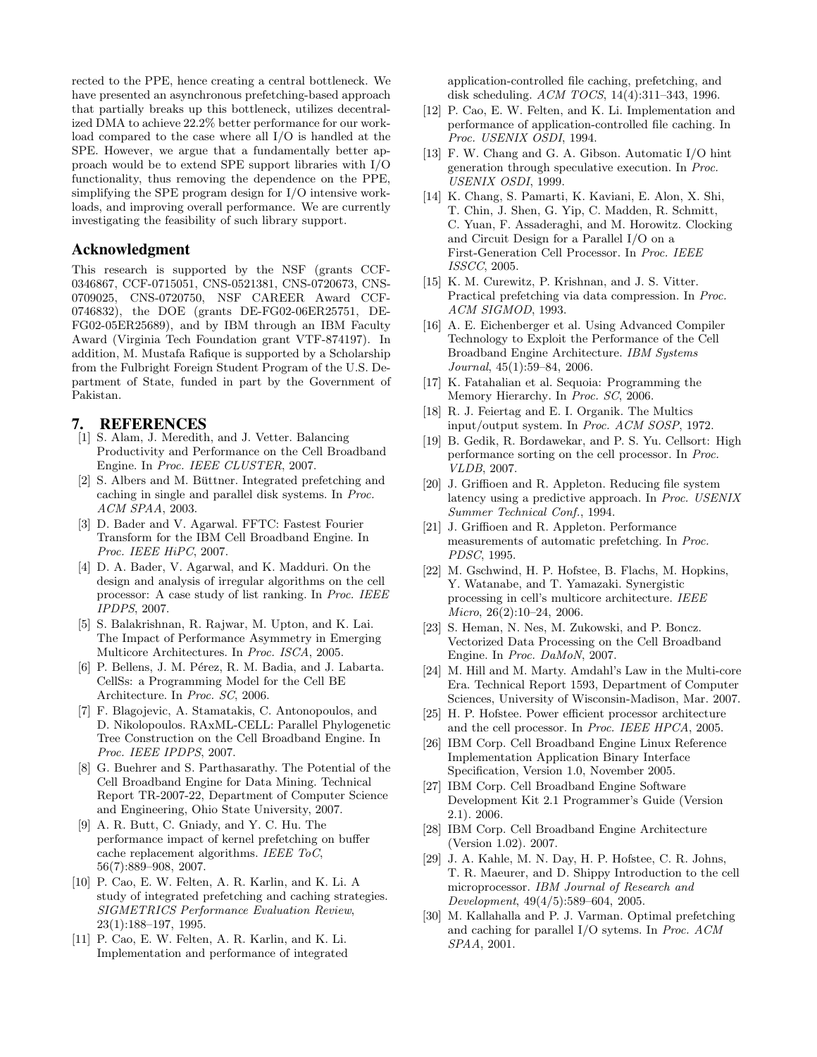rected to the PPE, hence creating a central bottleneck. We have presented an asynchronous prefetching-based approach that partially breaks up this bottleneck, utilizes decentralized DMA to achieve 22.2% better performance for our workload compared to the case where all I/O is handled at the SPE. However, we argue that a fundamentally better approach would be to extend SPE support libraries with I/O functionality, thus removing the dependence on the PPE, simplifying the SPE program design for I/O intensive workloads, and improving overall performance. We are currently investigating the feasibility of such library support.

## **Acknowledgment**

This research is supported by the NSF (grants CCF-0346867, CCF-0715051, CNS-0521381, CNS-0720673, CNS-0709025, CNS-0720750, NSF CAREER Award CCF-0746832), the DOE (grants DE-FG02-06ER25751, DE-FG02-05ER25689), and by IBM through an IBM Faculty Award (Virginia Tech Foundation grant VTF-874197). In addition, M. Mustafa Rafique is supported by a Scholarship from the Fulbright Foreign Student Program of the U.S. Department of State, funded in part by the Government of Pakistan.

## **7. REFERENCES**

- [1] S. Alam, J. Meredith, and J. Vetter. Balancing Productivity and Performance on the Cell Broadband Engine. In Proc. IEEE CLUSTER, 2007.
- [2] S. Albers and M. Büttner. Integrated prefetching and caching in single and parallel disk systems. In Proc. ACM SPAA, 2003.
- [3] D. Bader and V. Agarwal. FFTC: Fastest Fourier Transform for the IBM Cell Broadband Engine. In Proc. IEEE HiPC, 2007.
- [4] D. A. Bader, V. Agarwal, and K. Madduri. On the design and analysis of irregular algorithms on the cell processor: A case study of list ranking. In Proc. IEEE IPDPS, 2007.
- [5] S. Balakrishnan, R. Rajwar, M. Upton, and K. Lai. The Impact of Performance Asymmetry in Emerging Multicore Architectures. In Proc. ISCA, 2005.
- [6] P. Bellens, J. M. Pérez, R. M. Badia, and J. Labarta. CellSs: a Programming Model for the Cell BE Architecture. In Proc. SC, 2006.
- [7] F. Blagojevic, A. Stamatakis, C. Antonopoulos, and D. Nikolopoulos. RAxML-CELL: Parallel Phylogenetic Tree Construction on the Cell Broadband Engine. In Proc. IEEE IPDPS, 2007.
- [8] G. Buehrer and S. Parthasarathy. The Potential of the Cell Broadband Engine for Data Mining. Technical Report TR-2007-22, Department of Computer Science and Engineering, Ohio State University, 2007.
- [9] A. R. Butt, C. Gniady, and Y. C. Hu. The performance impact of kernel prefetching on buffer cache replacement algorithms. IEEE ToC, 56(7):889–908, 2007.
- [10] P. Cao, E. W. Felten, A. R. Karlin, and K. Li. A study of integrated prefetching and caching strategies. SIGMETRICS Performance Evaluation Review, 23(1):188–197, 1995.
- [11] P. Cao, E. W. Felten, A. R. Karlin, and K. Li. Implementation and performance of integrated

application-controlled file caching, prefetching, and disk scheduling. ACM TOCS, 14(4):311–343, 1996.

- [12] P. Cao, E. W. Felten, and K. Li. Implementation and performance of application-controlled file caching. In Proc. USENIX OSDI, 1994.
- [13] F. W. Chang and G. A. Gibson. Automatic I/O hint generation through speculative execution. In Proc. USENIX OSDI, 1999.
- [14] K. Chang, S. Pamarti, K. Kaviani, E. Alon, X. Shi, T. Chin, J. Shen, G. Yip, C. Madden, R. Schmitt, C. Yuan, F. Assaderaghi, and M. Horowitz. Clocking and Circuit Design for a Parallel I/O on a First-Generation Cell Processor. In Proc. IEEE ISSCC, 2005.
- [15] K. M. Curewitz, P. Krishnan, and J. S. Vitter. Practical prefetching via data compression. In Proc. ACM SIGMOD, 1993.
- [16] A. E. Eichenberger et al. Using Advanced Compiler Technology to Exploit the Performance of the Cell Broadband Engine Architecture. IBM Systems Journal, 45(1):59–84, 2006.
- [17] K. Fatahalian et al. Sequoia: Programming the Memory Hierarchy. In Proc. SC, 2006.
- [18] R. J. Feiertag and E. I. Organik. The Multics input/output system. In Proc. ACM SOSP, 1972.
- [19] B. Gedik, R. Bordawekar, and P. S. Yu. Cellsort: High performance sorting on the cell processor. In Proc. VLDB, 2007.
- [20] J. Griffioen and R. Appleton. Reducing file system latency using a predictive approach. In Proc. USENIX Summer Technical Conf., 1994.
- [21] J. Griffioen and R. Appleton. Performance measurements of automatic prefetching. In Proc. PDSC, 1995.
- [22] M. Gschwind, H. P. Hofstee, B. Flachs, M. Hopkins, Y. Watanabe, and T. Yamazaki. Synergistic processing in cell's multicore architecture. IEEE  $Micro, 26(2):10-24, 2006.$
- [23] S. Heman, N. Nes, M. Zukowski, and P. Boncz. Vectorized Data Processing on the Cell Broadband Engine. In Proc. DaMoN, 2007.
- [24] M. Hill and M. Marty. Amdahl's Law in the Multi-core Era. Technical Report 1593, Department of Computer Sciences, University of Wisconsin-Madison, Mar. 2007.
- [25] H. P. Hofstee. Power efficient processor architecture and the cell processor. In Proc. IEEE HPCA, 2005.
- [26] IBM Corp. Cell Broadband Engine Linux Reference Implementation Application Binary Interface Specification, Version 1.0, November 2005.
- [27] IBM Corp. Cell Broadband Engine Software Development Kit 2.1 Programmer's Guide (Version 2.1). 2006.
- [28] IBM Corp. Cell Broadband Engine Architecture (Version 1.02). 2007.
- [29] J. A. Kahle, M. N. Day, H. P. Hofstee, C. R. Johns, T. R. Maeurer, and D. Shippy Introduction to the cell microprocessor. IBM Journal of Research and Development, 49(4/5):589–604, 2005.
- [30] M. Kallahalla and P. J. Varman. Optimal prefetching and caching for parallel I/O sytems. In Proc. ACM SPAA, 2001.